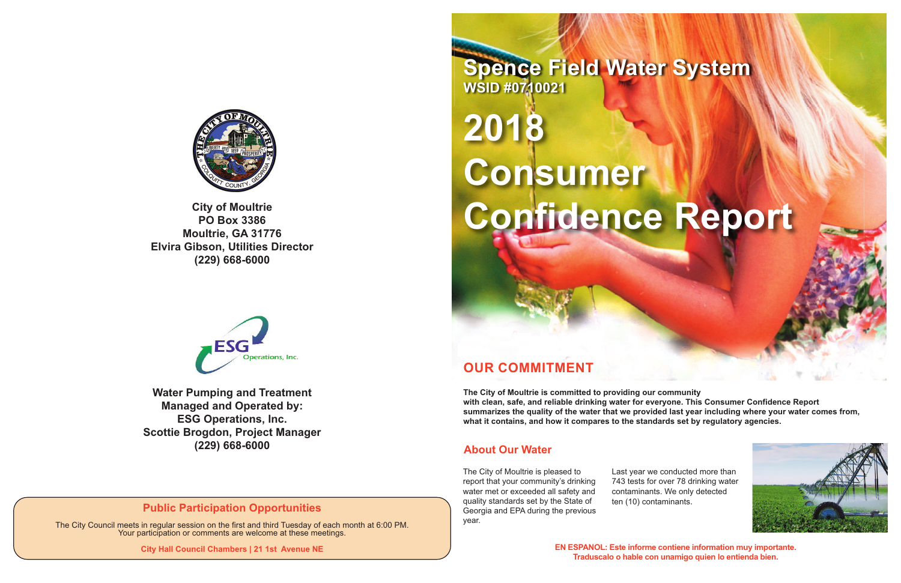# **OUR COMMITMENT**

**The City of Moultrie is committed to providing our community with clean, safe, and reliable drinking water for everyone. This Consumer Confidence Report summarizes the quality of the water that we provided last year including where your water comes from, what it contains, and how it compares to the standards set by regulatory agencies.**

# **2018 Consumer**  Confidence Report

The City of Moultrie is pleased to report that your community's drinking water met or exceeded all safety and quality standards set by the State of Georgia and EPA during the previous year.

Last year we conducted more than 743 tests for over 78 drinking water contaminants. We only detected ten (10) contaminants.





**EN ESPANOL: Este informe contiene information muy importante. Traduscalo o hable con unamigo quien lo entienda bien.**

**Spence Field Water System WSID #0710021**



**PO Box 3386 Moultrie, GA 31776 Elvira Gibson, Utilities Director (229) 668-6000**



#### **About Our Water**

**Water Pumping and Treatment Managed and Operated by: ESG Operations, Inc. Scottie Brogdon, Project Manager (229) 668-6000**

#### **Public Participation Opportunities**

The City Council meets in regular session on the first and third Tuesday of each month at 6:00 PM. Your participation or comments are welcome at these meetings.

**City Hall Council Chambers | 21 1st Avenue NE**